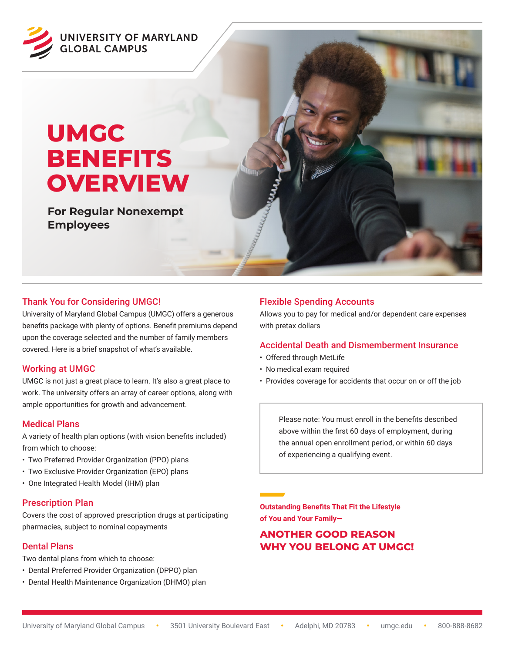

# **UMGC BENEFITS OVERVIEW**

**For Regular Nonexempt Employees**

# Thank You for Considering UMGC!

University of Maryland Global Campus (UMGC) offers a generous benefits package with plenty of options. Benefit premiums depend upon the coverage selected and the number of family members covered. Here is a brief snapshot of what's available.

#### Working at UMGC

UMGC is not just a great place to learn. It's also a great place to work. The university offers an array of career options, along with ample opportunities for growth and advancement.

#### Medical Plans

A variety of health plan options (with vision benefits included) from which to choose:

- Two Preferred Provider Organization (PPO) plans
- Two Exclusive Provider Organization (EPO) plans
- One Integrated Health Model (IHM) plan

#### Prescription Plan

Covers the cost of approved prescription drugs at participating pharmacies, subject to nominal copayments

#### Dental Plans

Two dental plans from which to choose:

- Dental Preferred Provider Organization (DPPO) plan
- Dental Health Maintenance Organization (DHMO) plan

# Flexible Spending Accounts

Allows you to pay for medical and/or dependent care expenses with pretax dollars

#### Accidental Death and Dismemberment Insurance

- Offered through MetLife
- No medical exam required
- Provides coverage for accidents that occur on or off the job

Please note: You must enroll in the benefits described above within the first 60 days of employment, during the annual open enrollment period, or within 60 days of experiencing a qualifying event.

**Outstanding Benefits That Fit the Lifestyle of You and Your Family—**

# **ANOTHER GOOD REASON WHY YOU BELONG AT UMGC!**